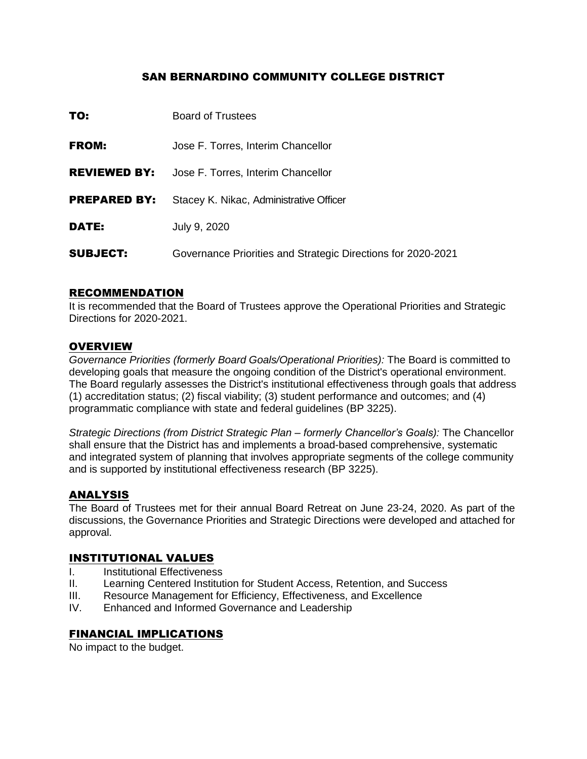#### SAN BERNARDINO COMMUNITY COLLEGE DISTRICT

| TO:                 | <b>Board of Trustees</b>                                     |
|---------------------|--------------------------------------------------------------|
| <b>FROM:</b>        | Jose F. Torres, Interim Chancellor                           |
| <b>REVIEWED BY:</b> | Jose F. Torres, Interim Chancellor                           |
| <b>PREPARED BY:</b> | Stacey K. Nikac, Administrative Officer                      |
| DATE:               | July 9, 2020                                                 |
| <b>SUBJECT:</b>     | Governance Priorities and Strategic Directions for 2020-2021 |

#### RECOMMENDATION

It is recommended that the Board of Trustees approve the Operational Priorities and Strategic Directions for 2020-2021.

#### **OVERVIEW**

*Governance Priorities (formerly Board Goals/Operational Priorities):* The Board is committed to developing goals that measure the ongoing condition of the District's operational environment. The Board regularly assesses the District's institutional effectiveness through goals that address (1) accreditation status; (2) fiscal viability; (3) student performance and outcomes; and (4) programmatic compliance with state and federal guidelines (BP 3225).

*Strategic Directions (from District Strategic Plan – formerly Chancellor's Goals):* The Chancellor shall ensure that the District has and implements a broad-based comprehensive, systematic and integrated system of planning that involves appropriate segments of the college community and is supported by institutional effectiveness research (BP 3225).

### ANALYSIS

The Board of Trustees met for their annual Board Retreat on June 23-24, 2020. As part of the discussions, the Governance Priorities and Strategic Directions were developed and attached for approval.

### INSTITUTIONAL VALUES

- I. Institutional Effectiveness
- II. Learning Centered Institution for Student Access, Retention, and Success
- III. Resource Management for Efficiency, Effectiveness, and Excellence
- IV. Enhanced and Informed Governance and Leadership

#### FINANCIAL IMPLICATIONS

No impact to the budget.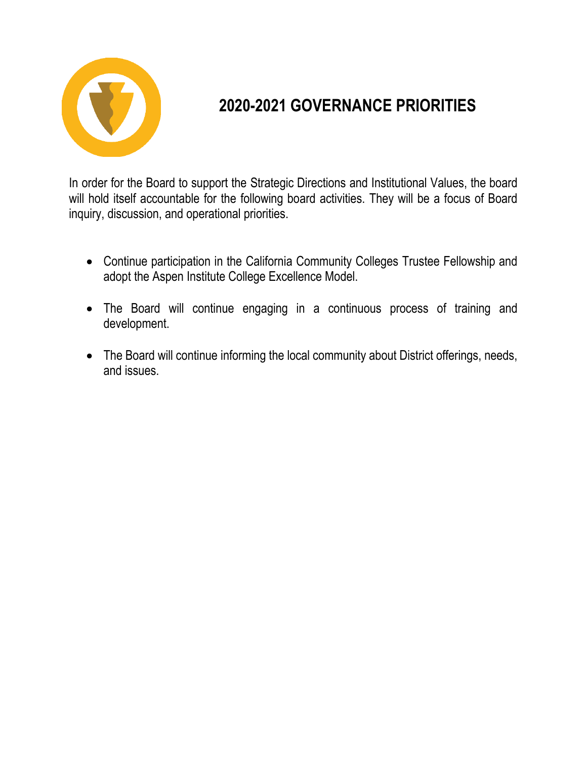

# **2020-2021 GOVERNANCE PRIORITIES**

In order for the Board to support the Strategic Directions and Institutional Values, the board will hold itself accountable for the following board activities. They will be a focus of Board inquiry, discussion, and operational priorities.

- Continue participation in the California Community Colleges Trustee Fellowship and adopt the Aspen Institute College Excellence Model.
- The Board will continue engaging in a continuous process of training and development.
- The Board will continue informing the local community about District offerings, needs, and issues.